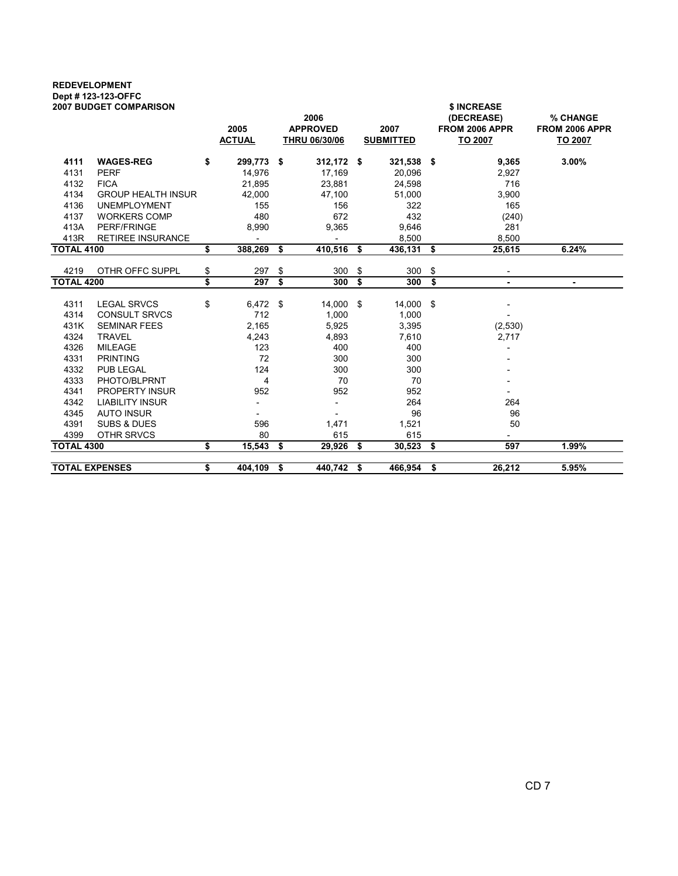## REDEVELOPMENT Dept # 123-123-OFFC

| <b>2007 BUDGET COMPARISON</b>     | 2005<br><b>ACTUAL</b> | 2006<br><b>APPROVED</b><br><b>THRU 06/30/06</b> | 2007<br><b>SUBMITTED</b> |                                      | \$ INCREASE<br>(DECREASE)<br>FROM 2006 APPR<br><b>TO 2007</b> | % CHANGE<br>FROM 2006 APPR<br>TO 2007 |
|-----------------------------------|-----------------------|-------------------------------------------------|--------------------------|--------------------------------------|---------------------------------------------------------------|---------------------------------------|
| <b>WAGES-REG</b><br>4111          | \$<br>299,773 \$      | $312,172$ \$                                    | 321,538 \$               |                                      | 9,365                                                         | 3.00%                                 |
| 4131<br><b>PERF</b>               | 14,976                | 17,169                                          | 20,096                   |                                      | 2,927                                                         |                                       |
| 4132<br><b>FICA</b>               | 21,895                | 23,881                                          | 24,598                   |                                      | 716                                                           |                                       |
| 4134<br><b>GROUP HEALTH INSUR</b> | 42,000                | 47,100                                          | 51,000                   |                                      | 3,900                                                         |                                       |
| 4136<br><b>UNEMPLOYMENT</b>       | 155                   | 156                                             | 322                      |                                      | 165                                                           |                                       |
| 4137<br><b>WORKERS COMP</b>       | 480                   | 672                                             | 432                      |                                      | (240)                                                         |                                       |
| 413A<br><b>PERF/FRINGE</b>        | 8,990                 | 9,365                                           | 9,646                    |                                      | 281                                                           |                                       |
| 413R<br><b>RETIREE INSURANCE</b>  |                       |                                                 | 8,500                    |                                      | 8,500                                                         |                                       |
| <b>TOTAL 4100</b>                 | \$<br>388,269         | \$<br>410,516                                   | \$<br>436,131 \$         |                                      | 25,615                                                        | 6.24%                                 |
| 4219                              | 297                   |                                                 |                          |                                      |                                                               |                                       |
| OTHR OFFC SUPPL                   | \$                    | \$<br>300                                       | \$<br>300                | \$                                   |                                                               |                                       |
| <b>TOTAL 4200</b>                 | \$<br>297             | \$<br>300                                       | \$<br>300                | $\overline{\boldsymbol{\mathsf{s}}}$ | ٠                                                             | ٠                                     |
| 4311<br><b>LEGAL SRVCS</b>        | \$<br>$6,472$ \$      | 14,000 \$                                       | 14,000 \$                |                                      |                                                               |                                       |
| 4314<br><b>CONSULT SRVCS</b>      | 712                   | 1,000                                           | 1,000                    |                                      |                                                               |                                       |
| 431K<br><b>SEMINAR FEES</b>       | 2,165                 | 5,925                                           | 3,395                    |                                      | (2,530)                                                       |                                       |
| 4324<br><b>TRAVEL</b>             | 4,243                 | 4,893                                           | 7,610                    |                                      | 2,717                                                         |                                       |
| 4326<br><b>MILEAGE</b>            | 123                   | 400                                             | 400                      |                                      |                                                               |                                       |
| 4331<br><b>PRINTING</b>           | 72                    | 300                                             | 300                      |                                      |                                                               |                                       |
| 4332<br><b>PUB LEGAL</b>          | 124                   | 300                                             | 300                      |                                      |                                                               |                                       |
| 4333<br>PHOTO/BLPRNT              | 4                     | 70                                              | 70                       |                                      |                                                               |                                       |
| 4341<br><b>PROPERTY INSUR</b>     | 952                   | 952                                             | 952                      |                                      |                                                               |                                       |
| 4342<br><b>LIABILITY INSUR</b>    |                       |                                                 | 264                      |                                      | 264                                                           |                                       |
| 4345<br><b>AUTO INSUR</b>         |                       |                                                 | 96                       |                                      | 96                                                            |                                       |
| 4391<br><b>SUBS &amp; DUES</b>    | 596                   | 1,471                                           | 1,521                    |                                      | 50                                                            |                                       |
| 4399<br>OTHR SRVCS                | 80                    | 615                                             | 615                      |                                      |                                                               |                                       |
| <b>TOTAL 4300</b>                 | \$<br>15,543          | \$<br>29,926                                    | \$<br>$30,523$ \$        |                                      | 597                                                           | 1.99%                                 |
| <b>TOTAL EXPENSES</b>             | \$<br>404,109 \$      | 440,742 \$                                      | 466,954 \$               |                                      | 26,212                                                        | 5.95%                                 |